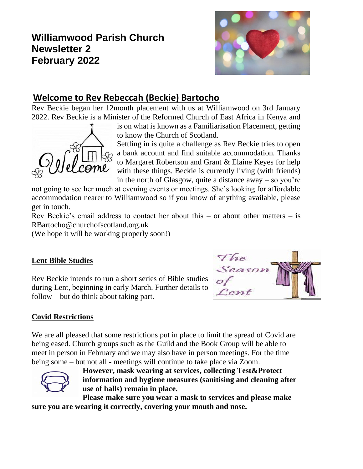# **Williamwood Parish Church Newsletter 2 February 2022**



# **Welcome to Rev Rebeccah (Beckie) Bartocho**

Rev Beckie began her 12month placement with us at Williamwood on 3rd January 2022. Rev Beckie is a Minister of the Reformed Church of East Africa in Kenya and



is on what is known as a Familiarisation Placement, getting to know the Church of Scotland.

Settling in is quite a challenge as Rev Beckie tries to open a bank account and find suitable accommodation. Thanks to Margaret Robertson and Grant & Elaine Keyes for help with these things. Beckie is currently living (with friends) in the north of Glasgow, quite a distance away  $-$  so you're

not going to see her much at evening events or meetings. She's looking for affordable accommodation nearer to Williamwood so if you know of anything available, please get in touch.

Rev Beckie's email address to contact her about this – or about other matters – is RBartocho@churchofscotland.org.uk

(We hope it will be working properly soon!)

## **Lent Bible Studies**

Rev Beckie intends to run a short series of Bible studies during Lent, beginning in early March. Further details to follow – but do think about taking part.



## **Covid Restrictions**

We are all pleased that some restrictions put in place to limit the spread of Covid are being eased. Church groups such as the Guild and the Book Group will be able to meet in person in February and we may also have in person meetings. For the time being some – but not all - meetings will continue to take place via Zoom.



**However, mask wearing at services, collecting Test&Protect information and hygiene measures (sanitising and cleaning after use of halls) remain in place.** 

**Please make sure you wear a mask to services and please make sure you are wearing it correctly, covering your mouth and nose.**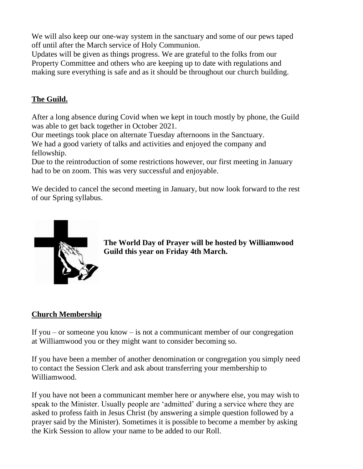We will also keep our one-way system in the sanctuary and some of our pews taped off until after the March service of Holy Communion.

Updates will be given as things progress. We are grateful to the folks from our Property Committee and others who are keeping up to date with regulations and making sure everything is safe and as it should be throughout our church building.

### **The Guild.**

After a long absence during Covid when we kept in touch mostly by phone, the Guild was able to get back together in October 2021.

Our meetings took place on alternate Tuesday afternoons in the Sanctuary. We had a good variety of talks and activities and enjoyed the company and fellowship.

Due to the reintroduction of some restrictions however, our first meeting in January had to be on zoom. This was very successful and enjoyable.

We decided to cancel the second meeting in January, but now look forward to the rest of our Spring syllabus.



**The World Day of Prayer will be hosted by Williamwood Guild this year on Friday 4th March.**

### **Church Membership**

If you – or someone you know – is not a communicant member of our congregation at Williamwood you or they might want to consider becoming so.

If you have been a member of another denomination or congregation you simply need to contact the Session Clerk and ask about transferring your membership to Williamwood.

If you have not been a communicant member here or anywhere else, you may wish to speak to the Minister. Usually people are 'admitted' during a service where they are asked to profess faith in Jesus Christ (by answering a simple question followed by a prayer said by the Minister). Sometimes it is possible to become a member by asking the Kirk Session to allow your name to be added to our Roll.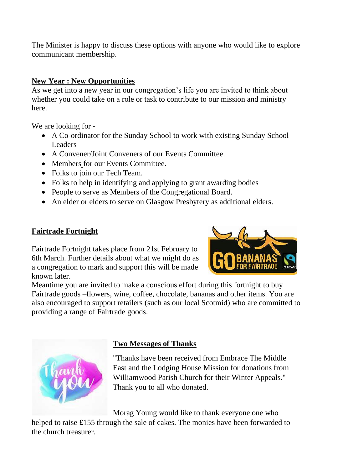The Minister is happy to discuss these options with anyone who would like to explore communicant membership.

### **New Year : New Opportunities**

As we get into a new year in our congregation's life you are invited to think about whether you could take on a role or task to contribute to our mission and ministry here.

We are looking for -

- A Co-ordinator for the Sunday School to work with existing Sunday School **Leaders**
- A Convener/Joint Conveners of our Events Committee.
- Members for our Events Committee.
- Folks to join our Tech Team.
- Folks to help in identifying and applying to grant awarding bodies
- People to serve as Members of the Congregational Board.
- An elder or elders to serve on Glasgow Presbytery as additional elders.

### **Fairtrade Fortnight**

Fairtrade Fortnight takes place from 21st February to 6th March. Further details about what we might do as a congregation to mark and support this will be made known later.



Meantime you are invited to make a conscious effort during this fortnight to buy Fairtrade goods –flowers, wine, coffee, chocolate, bananas and other items. You are also encouraged to support retailers (such as our local Scotmid) who are committed to providing a range of Fairtrade goods.



### **Two Messages of Thanks**

"Thanks have been received from Embrace The Middle East and the Lodging House Mission for donations from Williamwood Parish Church for their Winter Appeals." Thank you to all who donated.

Morag Young would like to thank everyone one who

helped to raise £155 through the sale of cakes. The monies have been forwarded to the church treasurer.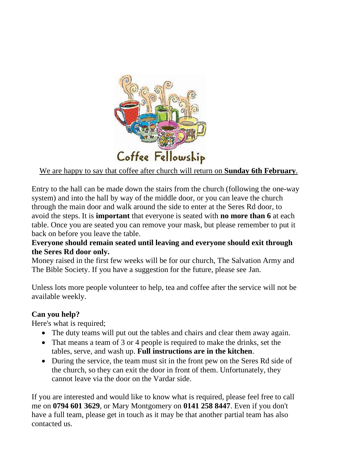

### We are happy to say that coffee after church will return on **Sunday 6th February**.

Entry to the hall can be made down the stairs from the church (following the one-way system) and into the hall by way of the middle door, or you can leave the church through the main door and walk around the side to enter at the Seres Rd door, to avoid the steps. It is **important** that everyone is seated with **no more than 6** at each table. Once you are seated you can remove your mask, but please remember to put it back on before you leave the table.

#### **Everyone should remain seated until leaving and everyone should exit through the Seres Rd door only.**

Money raised in the first few weeks will be for our church, The Salvation Army and The Bible Society. If you have a suggestion for the future, please see Jan.

Unless lots more people volunteer to help, tea and coffee after the service will not be available weekly.

#### **Can you help?**

Here's what is required;

- The duty teams will put out the tables and chairs and clear them away again.
- That means a team of 3 or 4 people is required to make the drinks, set the tables, serve, and wash up. **Full instructions are in the kitchen**.
- During the service, the team must sit in the front pew on the Seres Rd side of the church, so they can exit the door in front of them. Unfortunately, they cannot leave via the door on the Vardar side.

If you are interested and would like to know what is required, please feel free to call me on **0794 601 3629**, or Mary Montgomery on **0141 258 8447**. Even if you don't have a full team, please get in touch as it may be that another partial team has also contacted us.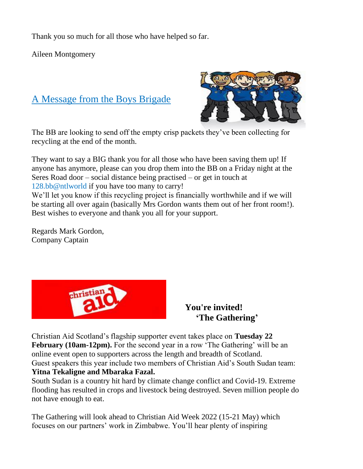Thank you so much for all those who have helped so far.

Aileen Montgomery

# A Message from the Boys Brigade



The BB are looking to send off the empty crisp packets they've been collecting for recycling at the end of the month.

They want to say a BIG thank you for all those who have been saving them up! If anyone has anymore, please can you drop them into the BB on a Friday night at the Seres Road door – social distance being practised – or get in touch at 128.bb@ntlworld if you have too many to carry! We'll let you know if this recycling project is financially worthwhile and if we will be starting all over again (basically Mrs Gordon wants them out of her front room!). Best wishes to everyone and thank you all for your support.

Regards Mark Gordon, Company Captain



 **You're invited! 'The Gathering'**

Christian Aid Scotland's flagship supporter event takes place on **Tuesday 22 February (10am-12pm).** For the second year in a row 'The Gathering' will be an online event open to supporters across the length and breadth of Scotland. Guest speakers this year include two members of Christian Aid's South Sudan team: **Yitna Tekaligne and Mbaraka Fazal.** 

South Sudan is a country hit hard by climate change conflict and Covid-19. Extreme flooding has resulted in crops and livestock being destroyed. Seven million people do not have enough to eat.

The Gathering will look ahead to Christian Aid Week 2022 (15-21 May) which focuses on our partners' work in Zimbabwe. You'll hear plenty of inspiring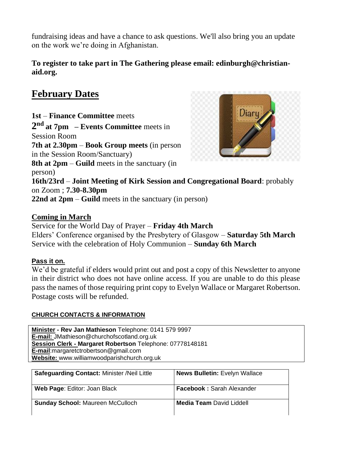fundraising ideas and have a chance to ask questions. We'll also bring you an update on the work we're doing in Afghanistan.

#### **To register to take part in The Gathering please email: edinburgh@christianaid.org.**

# **February Dates**

**1st** – **Finance Committee** meets **2 nd at 7pm – Events Committee** meets in Session Room **7th at 2.30pm** – **Book Group meets** (in person in the Session Room/Sanctuary) **8th at 2pm** – **Guild** meets in the sanctuary (in person) **16th/23rd** – **Joint Meeting of Kirk Session and Congregational Board**: probably on Zoom ; **7.30-8.30pm 22nd at 2pm** – **Guild** meets in the sanctuary (in person)

#### **Coming in March**

Service for the World Day of Prayer – **Friday 4th March** Elders' Conference organised by the Presbytery of Glasgow – **Saturday 5th March** Service with the celebration of Holy Communion – **Sunday 6th March**

#### **Pass it on.**

We'd be grateful if elders would print out and post a copy of this Newsletter to anyone in their district who does not have online access. If you are unable to do this please pass the names of those requiring print copy to Evelyn Wallace or Margaret Robertson. Postage costs will be refunded.

#### **CHURCH CONTACTS & INFORMATION**

**Minister - Rev Jan Mathieson** Telephone: 0141 579 9997 **E-mail:** JMathieson@churchofscotland.org.uk **Session Clerk - Margaret Robertson** Telephone: 07778148181 **E-mail**:margaretctrobertson@gmail.com **Website:** www.williamwoodparishchurch.org.uk

| <b>Safeguarding Contact: Minister /Neil Little</b> | <b>News Bulletin: Evelyn Wallace</b> |
|----------------------------------------------------|--------------------------------------|
| Web Page: Editor: Joan Black                       | <b>Facebook: Sarah Alexander</b>     |
| <b>Sunday School: Maureen McCulloch</b>            | <b>Media Team David Liddell</b>      |